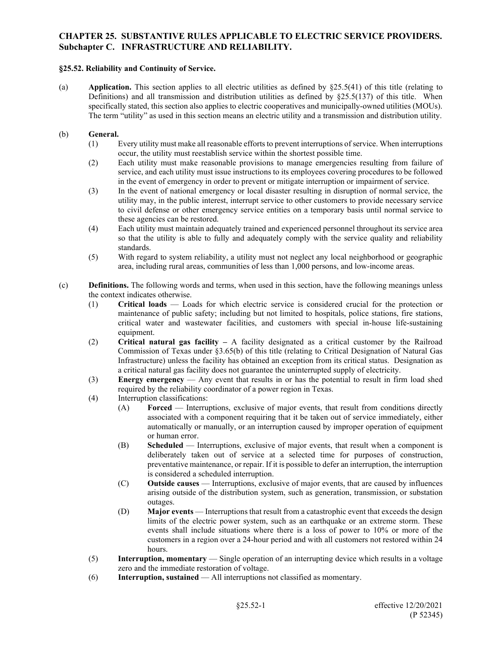### **§25.52. Reliability and Continuity of Service.**

(a) **Application.** This section applies to all electric utilities as defined by §25.5(41) of this title (relating to Definitions) and all transmission and distribution utilities as defined by  $\S 25.5(137)$  of this title. When specifically stated, this section also applies to electric cooperatives and municipally-owned utilities (MOUs). The term "utility" as used in this section means an electric utility and a transmission and distribution utility.

### (b) **General.**

- (1) Every utility must make all reasonable efforts to prevent interruptions of service. When interruptions occur, the utility must reestablish service within the shortest possible time.
- (2) Each utility must make reasonable provisions to manage emergencies resulting from failure of service, and each utility must issue instructions to its employees covering procedures to be followed in the event of emergency in order to prevent or mitigate interruption or impairment of service.
- (3) In the event of national emergency or local disaster resulting in disruption of normal service, the utility may, in the public interest, interrupt service to other customers to provide necessary service to civil defense or other emergency service entities on a temporary basis until normal service to these agencies can be restored.
- (4) Each utility must maintain adequately trained and experienced personnel throughout its service area so that the utility is able to fully and adequately comply with the service quality and reliability standards.
- (5) With regard to system reliability, a utility must not neglect any local neighborhood or geographic area, including rural areas, communities of less than 1,000 persons, and low-income areas.
- (c) **Definitions.** The following words and terms, when used in this section, have the following meanings unless the context indicates otherwise.
	- (1) **Critical loads** Loads for which electric service is considered crucial for the protection or maintenance of public safety; including but not limited to hospitals, police stations, fire stations, critical water and wastewater facilities, and customers with special in-house life-sustaining equipment.
	- (2) **Critical natural gas facility –** A facility designated as a critical customer by the Railroad Commission of Texas under §3.65(b) of this title (relating to Critical Designation of Natural Gas Infrastructure) unless the facility has obtained an exception from its critical status. Designation as a critical natural gas facility does not guarantee the uninterrupted supply of electricity.
	- (3) **Energy emergency** Any event that results in or has the potential to result in firm load shed required by the reliability coordinator of a power region in Texas.
	- (4) Interruption classifications:
		- (A) **Forced** Interruptions, exclusive of major events, that result from conditions directly associated with a component requiring that it be taken out of service immediately, either automatically or manually, or an interruption caused by improper operation of equipment or human error.
		- (B) **Scheduled** Interruptions, exclusive of major events, that result when a component is deliberately taken out of service at a selected time for purposes of construction, preventative maintenance, or repair. If it is possible to defer an interruption, the interruption is considered a scheduled interruption.
		- (C) **Outside causes** Interruptions, exclusive of major events, that are caused by influences arising outside of the distribution system, such as generation, transmission, or substation outages.
		- (D) **Major events** Interruptions that result from a catastrophic event that exceeds the design limits of the electric power system, such as an earthquake or an extreme storm. These events shall include situations where there is a loss of power to 10% or more of the customers in a region over a 24-hour period and with all customers not restored within 24 hours.
	- (5) **Interruption, momentary** Single operation of an interrupting device which results in a voltage zero and the immediate restoration of voltage.
	- (6) **Interruption, sustained** All interruptions not classified as momentary.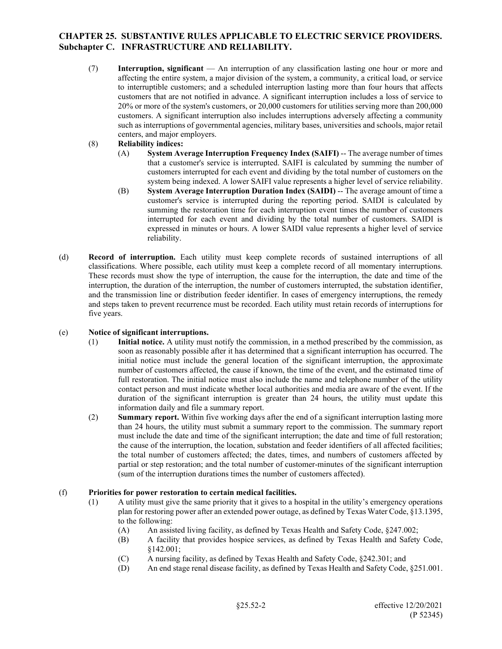- (7) **Interruption, significant** An interruption of any classification lasting one hour or more and affecting the entire system, a major division of the system, a community, a critical load, or service to interruptible customers; and a scheduled interruption lasting more than four hours that affects customers that are not notified in advance. A significant interruption includes a loss of service to 20% or more of the system's customers, or 20,000 customers for utilities serving more than 200,000 customers. A significant interruption also includes interruptions adversely affecting a community such as interruptions of governmental agencies, military bases, universities and schools, major retail centers, and major employers.
- (8) **Reliability indices:**
	- (A) **System Average Interruption Frequency Index (SAIFI)** -- The average number of times that a customer's service is interrupted. SAIFI is calculated by summing the number of customers interrupted for each event and dividing by the total number of customers on the system being indexed. A lower SAIFI value represents a higher level of service reliability.
	- (B) **System Average Interruption Duration Index (SAIDI)** -- The average amount of time a customer's service is interrupted during the reporting period. SAIDI is calculated by summing the restoration time for each interruption event times the number of customers interrupted for each event and dividing by the total number of customers. SAIDI is expressed in minutes or hours. A lower SAIDI value represents a higher level of service reliability.
- (d) **Record of interruption.** Each utility must keep complete records of sustained interruptions of all classifications. Where possible, each utility must keep a complete record of all momentary interruptions. These records must show the type of interruption, the cause for the interruption, the date and time of the interruption, the duration of the interruption, the number of customers interrupted, the substation identifier, and the transmission line or distribution feeder identifier. In cases of emergency interruptions, the remedy and steps taken to prevent recurrence must be recorded. Each utility must retain records of interruptions for five years.

#### (e) **Notice of significant interruptions.**

- (1) **Initial notice.** A utility must notify the commission, in a method prescribed by the commission, as soon as reasonably possible after it has determined that a significant interruption has occurred. The initial notice must include the general location of the significant interruption, the approximate number of customers affected, the cause if known, the time of the event, and the estimated time of full restoration. The initial notice must also include the name and telephone number of the utility contact person and must indicate whether local authorities and media are aware of the event. If the duration of the significant interruption is greater than 24 hours, the utility must update this information daily and file a summary report.
- (2) **Summary report.** Within five working days after the end of a significant interruption lasting more than 24 hours, the utility must submit a summary report to the commission. The summary report must include the date and time of the significant interruption; the date and time of full restoration; the cause of the interruption, the location, substation and feeder identifiers of all affected facilities; the total number of customers affected; the dates, times, and numbers of customers affected by partial or step restoration; and the total number of customer-minutes of the significant interruption (sum of the interruption durations times the number of customers affected).

#### (f) **Priorities for power restoration to certain medical facilities.**

- (1) A utility must give the same priority that it gives to a hospital in the utility's emergency operations plan for restoring power after an extended power outage, as defined by Texas Water Code, §13.1395, to the following:
	- (A) An assisted living facility, as defined by Texas Health and Safety Code, §247.002;
	- (B) A facility that provides hospice services, as defined by Texas Health and Safety Code, §142.001;
	- (C) A nursing facility, as defined by Texas Health and Safety Code, §242.301; and
	- (D) An end stage renal disease facility, as defined by Texas Health and Safety Code, §251.001.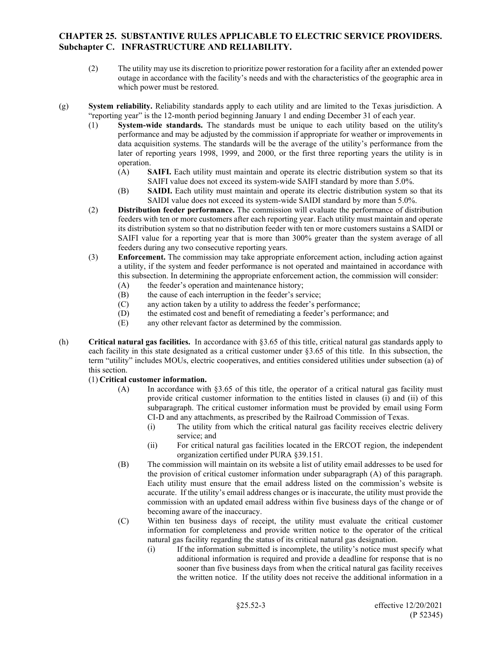- (2) The utility may use its discretion to prioritize power restoration for a facility after an extended power outage in accordance with the facility's needs and with the characteristics of the geographic area in which power must be restored.
- (g) **System reliability.** Reliability standards apply to each utility and are limited to the Texas jurisdiction. A "reporting year" is the 12-month period beginning January 1 and ending December 31 of each year.
	- (1) **System-wide standards.** The standards must be unique to each utility based on the utility's performance and may be adjusted by the commission if appropriate for weather or improvements in data acquisition systems. The standards will be the average of the utility's performance from the later of reporting years 1998, 1999, and 2000, or the first three reporting years the utility is in operation.
		- (A) **SAIFI.** Each utility must maintain and operate its electric distribution system so that its SAIFI value does not exceed its system-wide SAIFI standard by more than 5.0%.
		- (B) **SAIDI.** Each utility must maintain and operate its electric distribution system so that its SAIDI value does not exceed its system-wide SAIDI standard by more than 5.0%.
	- (2) **Distribution feeder performance.** The commission will evaluate the performance of distribution feeders with ten or more customers after each reporting year. Each utility must maintain and operate its distribution system so that no distribution feeder with ten or more customers sustains a SAIDI or SAIFI value for a reporting year that is more than 300% greater than the system average of all feeders during any two consecutive reporting years.
	- (3) **Enforcement.** The commission may take appropriate enforcement action, including action against a utility, if the system and feeder performance is not operated and maintained in accordance with this subsection. In determining the appropriate enforcement action, the commission will consider:
		- (A) the feeder's operation and maintenance history;
		- (B) the cause of each interruption in the feeder's service;
		- (C) any action taken by a utility to address the feeder's performance;
		- (D) the estimated cost and benefit of remediating a feeder's performance; and
		- (E) any other relevant factor as determined by the commission.
- (h) **Critical natural gas facilities.** In accordance with §3.65 of this title, critical natural gas standards apply to each facility in this state designated as a critical customer under §3.65 of this title. In this subsection, the term "utility" includes MOUs, electric cooperatives, and entities considered utilities under subsection (a) of this section.

#### (1) **Critical customer information.**

- (A) In accordance with §3.65 of this title, the operator of a critical natural gas facility must provide critical customer information to the entities listed in clauses (i) and (ii) of this subparagraph. The critical customer information must be provided by email using Form CI-D and any attachments, as prescribed by the Railroad Commission of Texas.
	- (i) The utility from which the critical natural gas facility receives electric delivery service; and
	- (ii) For critical natural gas facilities located in the ERCOT region, the independent organization certified under PURA §39.151.
- (B) The commission will maintain on its website a list of utility email addresses to be used for the provision of critical customer information under subparagraph (A) of this paragraph. Each utility must ensure that the email address listed on the commission's website is accurate. If the utility's email address changes or is inaccurate, the utility must provide the commission with an updated email address within five business days of the change or of becoming aware of the inaccuracy.
- (C) Within ten business days of receipt, the utility must evaluate the critical customer information for completeness and provide written notice to the operator of the critical natural gas facility regarding the status of its critical natural gas designation.
	- (i) If the information submitted is incomplete, the utility's notice must specify what additional information is required and provide a deadline for response that is no sooner than five business days from when the critical natural gas facility receives the written notice. If the utility does not receive the additional information in a